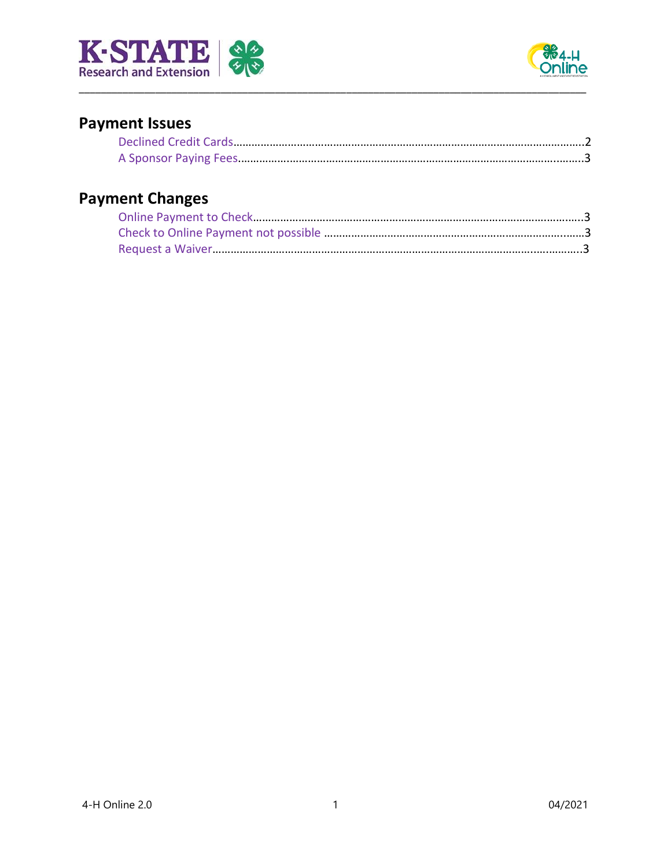



# **Payment Issues**

\_\_\_\_\_\_\_\_\_\_\_\_\_\_\_\_\_\_\_\_\_\_\_\_\_\_\_\_\_\_\_\_\_\_\_\_\_\_\_\_\_\_\_\_\_\_\_\_\_\_\_\_\_\_\_\_\_\_\_\_\_\_\_\_\_\_\_\_\_\_\_\_\_\_\_\_\_\_\_\_\_\_\_\_\_\_\_\_\_\_\_\_\_

# **Payment Changes**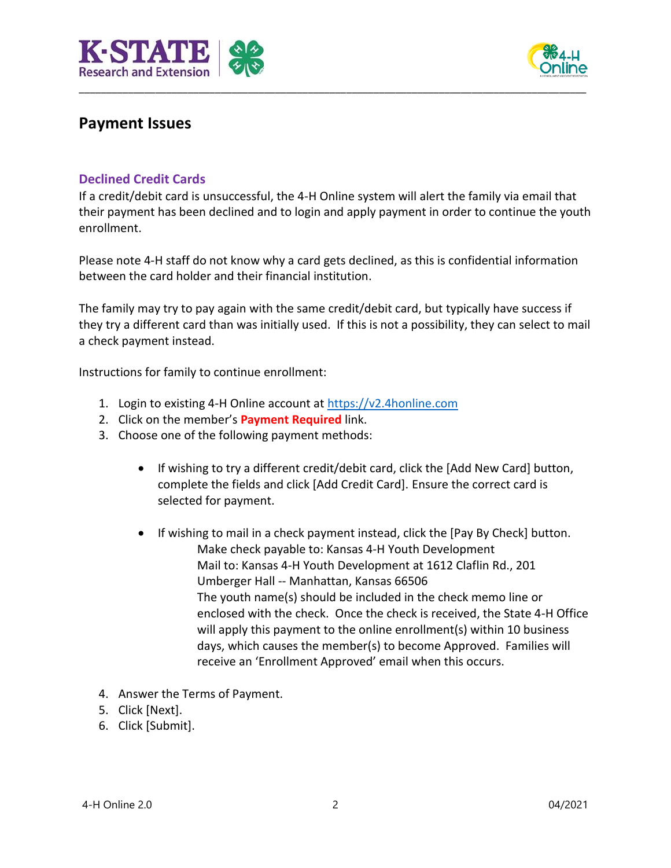



## **Payment Issues**

#### **Declined Credit Cards**

If a credit/debit card is unsuccessful, the 4-H Online system will alert the family via email that their payment has been declined and to login and apply payment in order to continue the youth enrollment.

\_\_\_\_\_\_\_\_\_\_\_\_\_\_\_\_\_\_\_\_\_\_\_\_\_\_\_\_\_\_\_\_\_\_\_\_\_\_\_\_\_\_\_\_\_\_\_\_\_\_\_\_\_\_\_\_\_\_\_\_\_\_\_\_\_\_\_\_\_\_\_\_\_\_\_\_\_\_\_\_\_\_\_\_\_\_\_\_\_\_\_\_\_

Please note 4-H staff do not know why a card gets declined, as this is confidential information between the card holder and their financial institution.

The family may try to pay again with the same credit/debit card, but typically have success if they try a different card than was initially used. If this is not a possibility, they can select to mail a check payment instead.

Instructions for family to continue enrollment:

- 1. Login to existing 4-H Online account a[t https://v2.4honline.com](https://v2.4honline.com/)
- 2. Click on the member's **Payment Required** link.
- 3. Choose one of the following payment methods:
	- If wishing to try a different credit/debit card, click the [Add New Card] button, complete the fields and click [Add Credit Card]. Ensure the correct card is selected for payment.
	- If wishing to mail in a check payment instead, click the [Pay By Check] button. Make check payable to: Kansas 4-H Youth Development Mail to: Kansas 4-H Youth Development at 1612 Claflin Rd., 201 Umberger Hall -- Manhattan, Kansas 66506 The youth name(s) should be included in the check memo line or enclosed with the check. Once the check is received, the State 4-H Office will apply this payment to the online enrollment(s) within 10 business days, which causes the member(s) to become Approved. Families will receive an 'Enrollment Approved' email when this occurs.
- 4. Answer the Terms of Payment.
- 5. Click [Next].
- 6. Click [Submit].